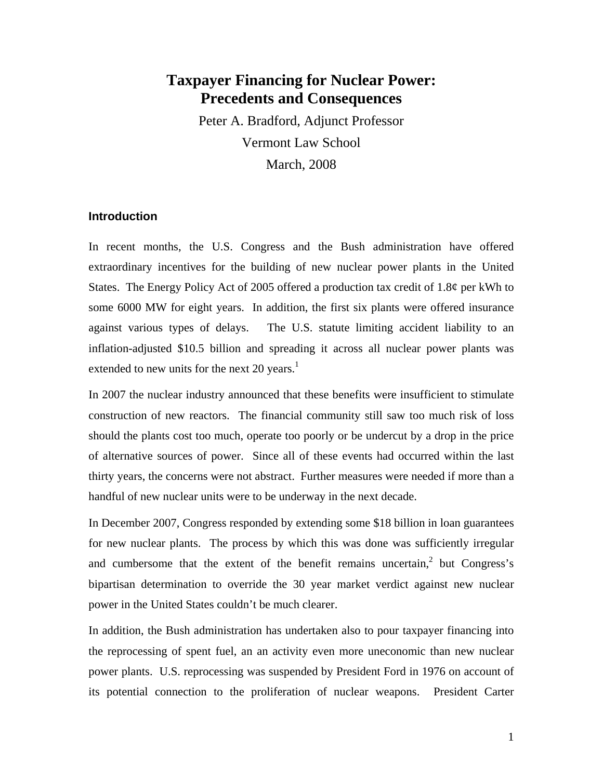# **Taxpayer Financing for Nuclear Power: Precedents and Consequences**

Peter A. Bradford, Adjunct Professor Vermont Law School March, 2008

# **Introduction**

In recent months, the U.S. Congress and the Bush administration have offered extraordinary incentives for the building of new nuclear power plants in the United States. The Energy Policy Act of 2005 offered a production tax credit of 1.8¢ per kWh to some 6000 MW for eight years. In addition, the first six plants were offered insurance against various types of delays. The U.S. statute limiting accident liability to an inflation-adjusted \$10.5 billion and spreading it across all nuclear power plants was extended to new units for the next 20 years. $<sup>1</sup>$ </sup>

In 2007 the nuclear industry announced that these benefits were insufficient to stimulate construction of new reactors. The financial community still saw too much risk of loss should the plants cost too much, operate too poorly or be undercut by a drop in the price of alternative sources of power. Since all of these events had occurred within the last thirty years, the concerns were not abstract. Further measures were needed if more than a handful of new nuclear units were to be underway in the next decade.

In December 2007, Congress responded by extending some \$18 billion in loan guarantees for new nuclear plants. The process by which this was done was sufficiently irregular and cumbersome that the extent of the benefit remains uncertain, $\lambda$  but Congress's bipartisan determination to override the 30 year market verdict against new nuclear power in the United States couldn't be much clearer.

In addition, the Bush administration has undertaken also to pour taxpayer financing into the reprocessing of spent fuel, an an activity even more uneconomic than new nuclear power plants. U.S. reprocessing was suspended by President Ford in 1976 on account of its potential connection to the proliferation of nuclear weapons. President Carter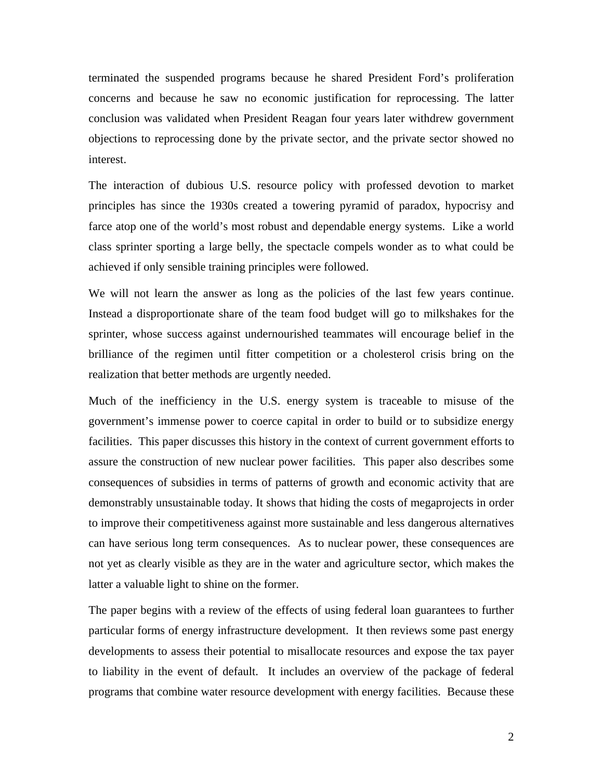terminated the suspended programs because he shared President Ford's proliferation concerns and because he saw no economic justification for reprocessing. The latter conclusion was validated when President Reagan four years later withdrew government objections to reprocessing done by the private sector, and the private sector showed no interest.

The interaction of dubious U.S. resource policy with professed devotion to market principles has since the 1930s created a towering pyramid of paradox, hypocrisy and farce atop one of the world's most robust and dependable energy systems. Like a world class sprinter sporting a large belly, the spectacle compels wonder as to what could be achieved if only sensible training principles were followed.

We will not learn the answer as long as the policies of the last few years continue. Instead a disproportionate share of the team food budget will go to milkshakes for the sprinter, whose success against undernourished teammates will encourage belief in the brilliance of the regimen until fitter competition or a cholesterol crisis bring on the realization that better methods are urgently needed.

Much of the inefficiency in the U.S. energy system is traceable to misuse of the government's immense power to coerce capital in order to build or to subsidize energy facilities. This paper discusses this history in the context of current government efforts to assure the construction of new nuclear power facilities. This paper also describes some consequences of subsidies in terms of patterns of growth and economic activity that are demonstrably unsustainable today. It shows that hiding the costs of megaprojects in order to improve their competitiveness against more sustainable and less dangerous alternatives can have serious long term consequences. As to nuclear power, these consequences are not yet as clearly visible as they are in the water and agriculture sector, which makes the latter a valuable light to shine on the former.

The paper begins with a review of the effects of using federal loan guarantees to further particular forms of energy infrastructure development. It then reviews some past energy developments to assess their potential to misallocate resources and expose the tax payer to liability in the event of default. It includes an overview of the package of federal programs that combine water resource development with energy facilities. Because these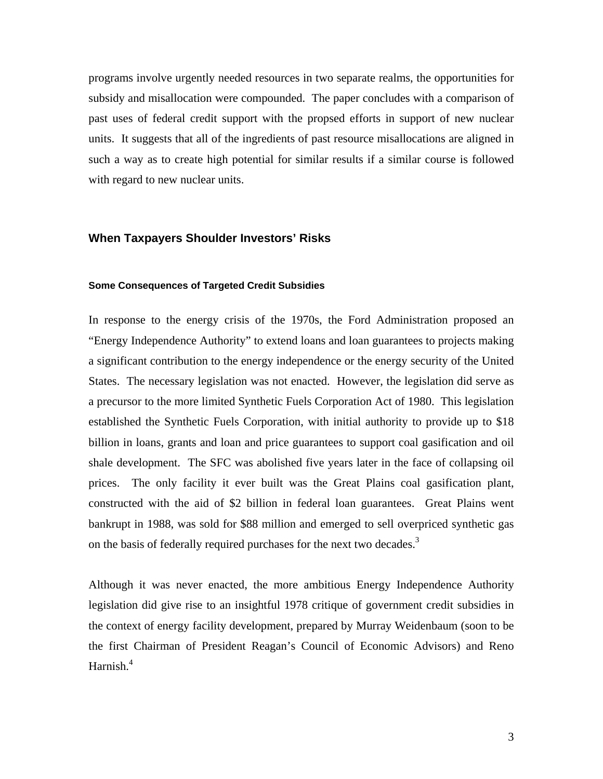programs involve urgently needed resources in two separate realms, the opportunities for subsidy and misallocation were compounded. The paper concludes with a comparison of past uses of federal credit support with the propsed efforts in support of new nuclear units. It suggests that all of the ingredients of past resource misallocations are aligned in such a way as to create high potential for similar results if a similar course is followed with regard to new nuclear units.

# **When Taxpayers Shoulder Investors' Risks**

#### **Some Consequences of Targeted Credit Subsidies**

In response to the energy crisis of the 1970s, the Ford Administration proposed an "Energy Independence Authority" to extend loans and loan guarantees to projects making a significant contribution to the energy independence or the energy security of the United States. The necessary legislation was not enacted. However, the legislation did serve as a precursor to the more limited Synthetic Fuels Corporation Act of 1980. This legislation established the Synthetic Fuels Corporation, with initial authority to provide up to \$18 billion in loans, grants and loan and price guarantees to support coal gasification and oil shale development. The SFC was abolished five years later in the face of collapsing oil prices. The only facility it ever built was the Great Plains coal gasification plant, constructed with the aid of \$2 billion in federal loan guarantees. Great Plains went bankrupt in 1988, was sold for \$88 million and emerged to sell overpriced synthetic gas on the basis of federally required purchases for the next two decades.<sup>3</sup>

Although it was never enacted, the more ambitious Energy Independence Authority legislation did give rise to an insightful 1978 critique of government credit subsidies in the context of energy facility development, prepared by Murray Weidenbaum (soon to be the first Chairman of President Reagan's Council of Economic Advisors) and Reno Harnish. $4$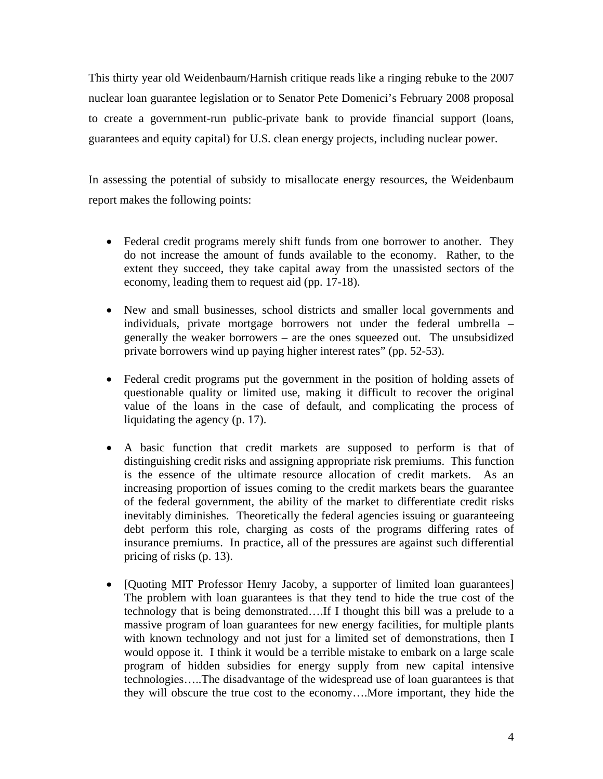This thirty year old Weidenbaum/Harnish critique reads like a ringing rebuke to the 2007 nuclear loan guarantee legislation or to Senator Pete Domenici's February 2008 proposal to create a government-run public-private bank to provide financial support (loans, guarantees and equity capital) for U.S. clean energy projects, including nuclear power.

In assessing the potential of subsidy to misallocate energy resources, the Weidenbaum report makes the following points:

- Federal credit programs merely shift funds from one borrower to another. They do not increase the amount of funds available to the economy. Rather, to the extent they succeed, they take capital away from the unassisted sectors of the economy, leading them to request aid (pp. 17-18).
- New and small businesses, school districts and smaller local governments and individuals, private mortgage borrowers not under the federal umbrella – generally the weaker borrowers – are the ones squeezed out. The unsubsidized private borrowers wind up paying higher interest rates" (pp. 52-53).
- Federal credit programs put the government in the position of holding assets of questionable quality or limited use, making it difficult to recover the original value of the loans in the case of default, and complicating the process of liquidating the agency (p. 17).
- A basic function that credit markets are supposed to perform is that of distinguishing credit risks and assigning appropriate risk premiums. This function is the essence of the ultimate resource allocation of credit markets. As an increasing proportion of issues coming to the credit markets bears the guarantee of the federal government, the ability of the market to differentiate credit risks inevitably diminishes. Theoretically the federal agencies issuing or guaranteeing debt perform this role, charging as costs of the programs differing rates of insurance premiums. In practice, all of the pressures are against such differential pricing of risks (p. 13).
- [Quoting MIT Professor Henry Jacoby, a supporter of limited loan guarantees] The problem with loan guarantees is that they tend to hide the true cost of the technology that is being demonstrated….If I thought this bill was a prelude to a massive program of loan guarantees for new energy facilities, for multiple plants with known technology and not just for a limited set of demonstrations, then I would oppose it. I think it would be a terrible mistake to embark on a large scale program of hidden subsidies for energy supply from new capital intensive technologies…..The disadvantage of the widespread use of loan guarantees is that they will obscure the true cost to the economy….More important, they hide the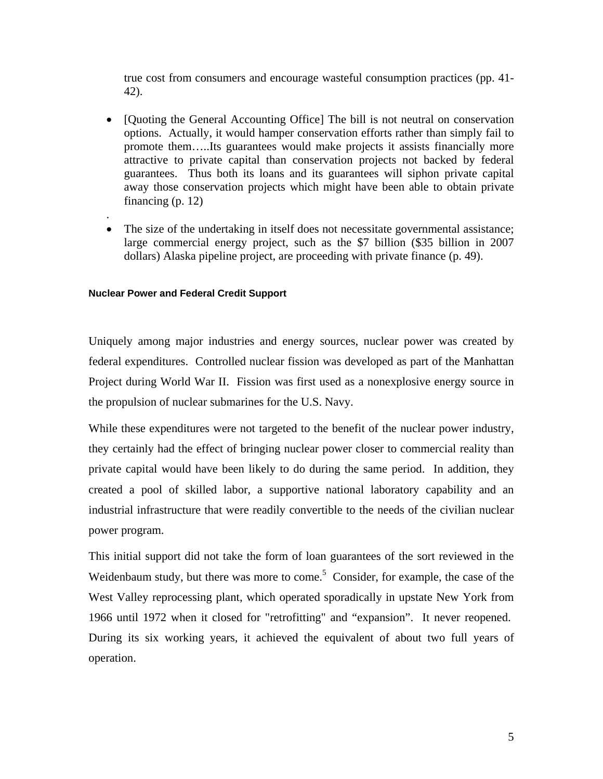true cost from consumers and encourage wasteful consumption practices (pp. 41- 42).

- [Quoting the General Accounting Office] The bill is not neutral on conservation options. Actually, it would hamper conservation efforts rather than simply fail to promote them…..Its guarantees would make projects it assists financially more attractive to private capital than conservation projects not backed by federal guarantees. Thus both its loans and its guarantees will siphon private capital away those conservation projects which might have been able to obtain private financing (p. 12)
- . • The size of the undertaking in itself does not necessitate governmental assistance; large commercial energy project, such as the \$7 billion (\$35 billion in 2007 dollars) Alaska pipeline project, are proceeding with private finance (p. 49).

## **Nuclear Power and Federal Credit Support**

Uniquely among major industries and energy sources, nuclear power was created by federal expenditures. Controlled nuclear fission was developed as part of the Manhattan Project during World War II. Fission was first used as a nonexplosive energy source in the propulsion of nuclear submarines for the U.S. Navy.

While these expenditures were not targeted to the benefit of the nuclear power industry, they certainly had the effect of bringing nuclear power closer to commercial reality than private capital would have been likely to do during the same period. In addition, they created a pool of skilled labor, a supportive national laboratory capability and an industrial infrastructure that were readily convertible to the needs of the civilian nuclear power program.

This initial support did not take the form of loan guarantees of the sort reviewed in the Weidenbaum study, but there was more to come.<sup>5</sup> Consider, for example, the case of the West Valley reprocessing plant, which operated sporadically in upstate New York from 1966 until 1972 when it closed for "retrofitting" and "expansion". It never reopened. During its six working years, it achieved the equivalent of about two full years of operation.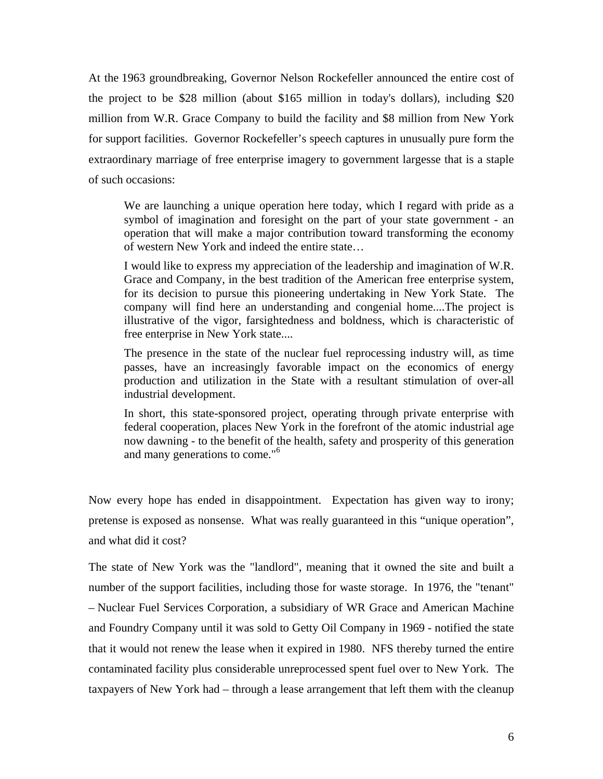At the 1963 groundbreaking, Governor Nelson Rockefeller announced the entire cost of the project to be \$28 million (about \$165 million in today's dollars), including \$20 million from W.R. Grace Company to build the facility and \$8 million from New York for support facilities. Governor Rockefeller's speech captures in unusually pure form the extraordinary marriage of free enterprise imagery to government largesse that is a staple of such occasions:

We are launching a unique operation here today, which I regard with pride as a symbol of imagination and foresight on the part of your state government - an operation that will make a major contribution toward transforming the economy of western New York and indeed the entire state…

I would like to express my appreciation of the leadership and imagination of W.R. Grace and Company, in the best tradition of the American free enterprise system, for its decision to pursue this pioneering undertaking in New York State. The company will find here an understanding and congenial home....The project is illustrative of the vigor, farsightedness and boldness, which is characteristic of free enterprise in New York state....

The presence in the state of the nuclear fuel reprocessing industry will, as time passes, have an increasingly favorable impact on the economics of energy production and utilization in the State with a resultant stimulation of over-all industrial development.

In short, this state-sponsored project, operating through private enterprise with federal cooperation, places New York in the forefront of the atomic industrial age now dawning - to the benefit of the health, safety and prosperity of this generation and many generations to come."<sup>6</sup>

Now every hope has ended in disappointment. Expectation has given way to irony; pretense is exposed as nonsense. What was really guaranteed in this "unique operation", and what did it cost?

The state of New York was the "landlord", meaning that it owned the site and built a number of the support facilities, including those for waste storage. In 1976, the "tenant" – Nuclear Fuel Services Corporation, a subsidiary of WR Grace and American Machine and Foundry Company until it was sold to Getty Oil Company in 1969 - notified the state that it would not renew the lease when it expired in 1980. NFS thereby turned the entire contaminated facility plus considerable unreprocessed spent fuel over to New York. The taxpayers of New York had – through a lease arrangement that left them with the cleanup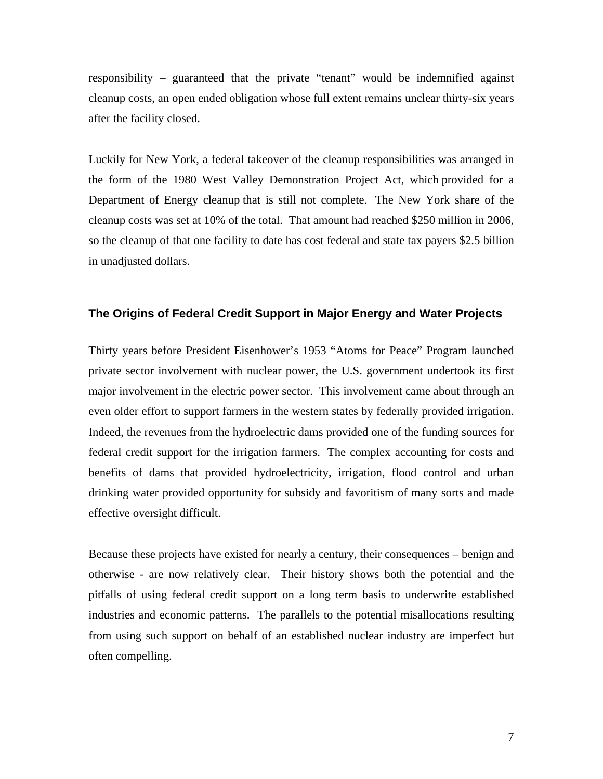responsibility – guaranteed that the private "tenant" would be indemnified against cleanup costs, an open ended obligation whose full extent remains unclear thirty-six years after the facility closed.

Luckily for New York, a federal takeover of the cleanup responsibilities was arranged in the form of the 1980 West Valley Demonstration Project Act, which provided for a Department of Energy cleanup that is still not complete. The New York share of the cleanup costs was set at 10% of the total. That amount had reached \$250 million in 2006, so the cleanup of that one facility to date has cost federal and state tax payers \$2.5 billion in unadjusted dollars.

# **The Origins of Federal Credit Support in Major Energy and Water Projects**

Thirty years before President Eisenhower's 1953 "Atoms for Peace" Program launched private sector involvement with nuclear power, the U.S. government undertook its first major involvement in the electric power sector. This involvement came about through an even older effort to support farmers in the western states by federally provided irrigation. Indeed, the revenues from the hydroelectric dams provided one of the funding sources for federal credit support for the irrigation farmers. The complex accounting for costs and benefits of dams that provided hydroelectricity, irrigation, flood control and urban drinking water provided opportunity for subsidy and favoritism of many sorts and made effective oversight difficult.

Because these projects have existed for nearly a century, their consequences – benign and otherwise - are now relatively clear. Their history shows both the potential and the pitfalls of using federal credit support on a long term basis to underwrite established industries and economic patterns. The parallels to the potential misallocations resulting from using such support on behalf of an established nuclear industry are imperfect but often compelling.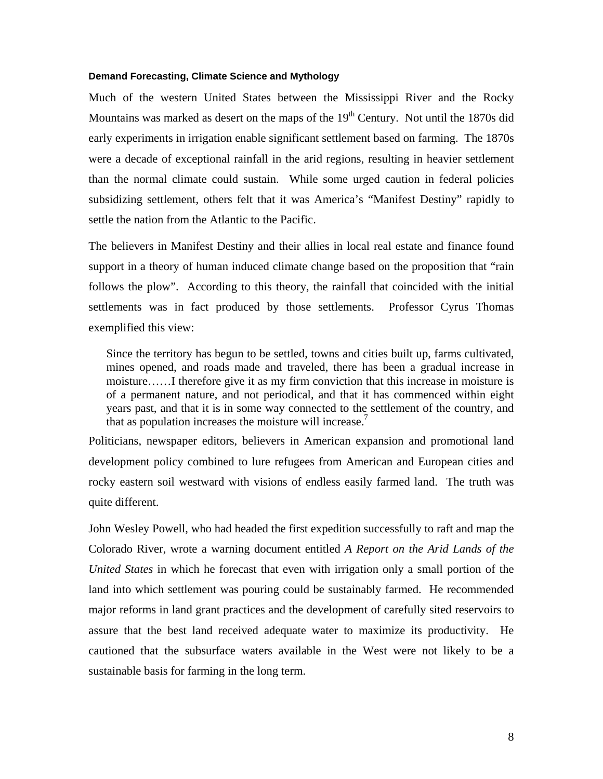### **Demand Forecasting, Climate Science and Mythology**

Much of the western United States between the Mississippi River and the Rocky Mountains was marked as desert on the maps of the  $19<sup>th</sup>$  Century. Not until the 1870s did early experiments in irrigation enable significant settlement based on farming. The 1870s were a decade of exceptional rainfall in the arid regions, resulting in heavier settlement than the normal climate could sustain. While some urged caution in federal policies subsidizing settlement, others felt that it was America's "Manifest Destiny" rapidly to settle the nation from the Atlantic to the Pacific.

The believers in Manifest Destiny and their allies in local real estate and finance found support in a theory of human induced climate change based on the proposition that "rain follows the plow". According to this theory, the rainfall that coincided with the initial settlements was in fact produced by those settlements. Professor Cyrus Thomas exemplified this view:

Since the territory has begun to be settled, towns and cities built up, farms cultivated, mines opened, and roads made and traveled, there has been a gradual increase in moisture……I therefore give it as my firm conviction that this increase in moisture is of a permanent nature, and not periodical, and that it has commenced within eight years past, and that it is in some way connected to the settlement of the country, and that as population increases the moisture will increase.<sup>7</sup>

Politicians, newspaper editors, believers in American expansion and promotional land development policy combined to lure refugees from American and European cities and rocky eastern soil westward with visions of endless easily farmed land. The truth was quite different.

John Wesley Powell, who had headed the first expedition successfully to raft and map the Colorado River, wrote a warning document entitled *A Report on the Arid Lands of the United States* in which he forecast that even with irrigation only a small portion of the land into which settlement was pouring could be sustainably farmed. He recommended major reforms in land grant practices and the development of carefully sited reservoirs to assure that the best land received adequate water to maximize its productivity. He cautioned that the subsurface waters available in the West were not likely to be a sustainable basis for farming in the long term.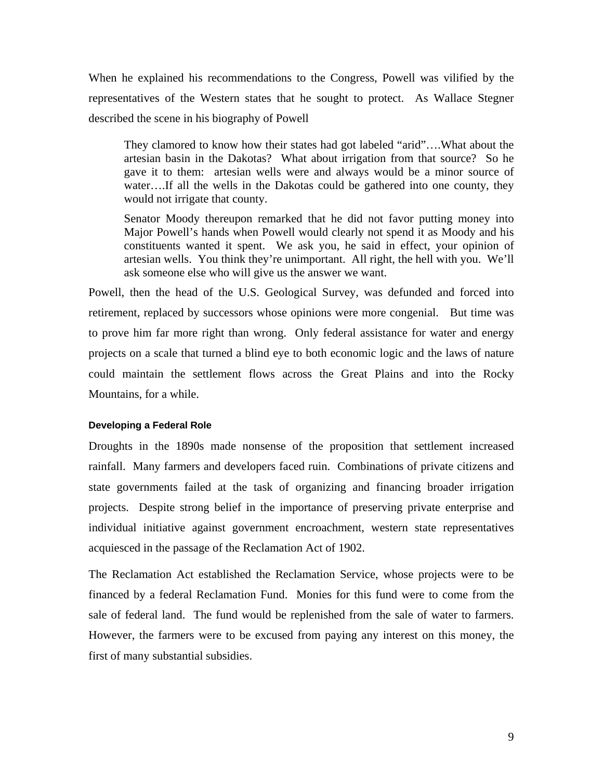When he explained his recommendations to the Congress, Powell was vilified by the representatives of the Western states that he sought to protect. As Wallace Stegner described the scene in his biography of Powell

They clamored to know how their states had got labeled "arid"….What about the artesian basin in the Dakotas? What about irrigation from that source? So he gave it to them: artesian wells were and always would be a minor source of water….If all the wells in the Dakotas could be gathered into one county, they would not irrigate that county.

Senator Moody thereupon remarked that he did not favor putting money into Major Powell's hands when Powell would clearly not spend it as Moody and his constituents wanted it spent. We ask you, he said in effect, your opinion of artesian wells. You think they're unimportant. All right, the hell with you. We'll ask someone else who will give us the answer we want.

Powell, then the head of the U.S. Geological Survey, was defunded and forced into retirement, replaced by successors whose opinions were more congenial. But time was to prove him far more right than wrong. Only federal assistance for water and energy projects on a scale that turned a blind eye to both economic logic and the laws of nature could maintain the settlement flows across the Great Plains and into the Rocky Mountains, for a while.

#### **Developing a Federal Role**

Droughts in the 1890s made nonsense of the proposition that settlement increased rainfall. Many farmers and developers faced ruin. Combinations of private citizens and state governments failed at the task of organizing and financing broader irrigation projects. Despite strong belief in the importance of preserving private enterprise and individual initiative against government encroachment, western state representatives acquiesced in the passage of the Reclamation Act of 1902.

The Reclamation Act established the Reclamation Service, whose projects were to be financed by a federal Reclamation Fund. Monies for this fund were to come from the sale of federal land. The fund would be replenished from the sale of water to farmers. However, the farmers were to be excused from paying any interest on this money, the first of many substantial subsidies.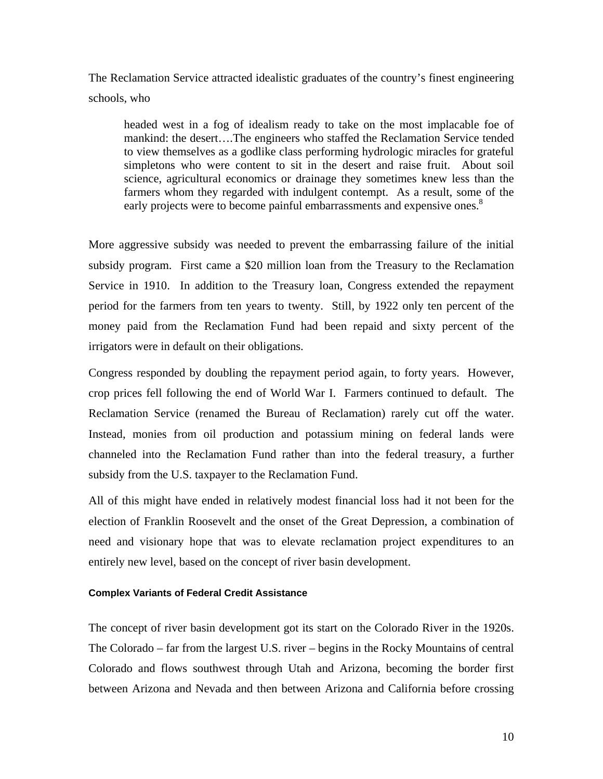The Reclamation Service attracted idealistic graduates of the country's finest engineering schools, who

headed west in a fog of idealism ready to take on the most implacable foe of mankind: the desert….The engineers who staffed the Reclamation Service tended to view themselves as a godlike class performing hydrologic miracles for grateful simpletons who were content to sit in the desert and raise fruit. About soil science, agricultural economics or drainage they sometimes knew less than the farmers whom they regarded with indulgent contempt. As a result, some of the early projects were to become painful embarrassments and expensive ones.<sup>8</sup>

More aggressive subsidy was needed to prevent the embarrassing failure of the initial subsidy program. First came a \$20 million loan from the Treasury to the Reclamation Service in 1910. In addition to the Treasury loan, Congress extended the repayment period for the farmers from ten years to twenty. Still, by 1922 only ten percent of the money paid from the Reclamation Fund had been repaid and sixty percent of the irrigators were in default on their obligations.

Congress responded by doubling the repayment period again, to forty years. However, crop prices fell following the end of World War I. Farmers continued to default. The Reclamation Service (renamed the Bureau of Reclamation) rarely cut off the water. Instead, monies from oil production and potassium mining on federal lands were channeled into the Reclamation Fund rather than into the federal treasury, a further subsidy from the U.S. taxpayer to the Reclamation Fund.

All of this might have ended in relatively modest financial loss had it not been for the election of Franklin Roosevelt and the onset of the Great Depression, a combination of need and visionary hope that was to elevate reclamation project expenditures to an entirely new level, based on the concept of river basin development.

#### **Complex Variants of Federal Credit Assistance**

The concept of river basin development got its start on the Colorado River in the 1920s. The Colorado – far from the largest U.S. river – begins in the Rocky Mountains of central Colorado and flows southwest through Utah and Arizona, becoming the border first between Arizona and Nevada and then between Arizona and California before crossing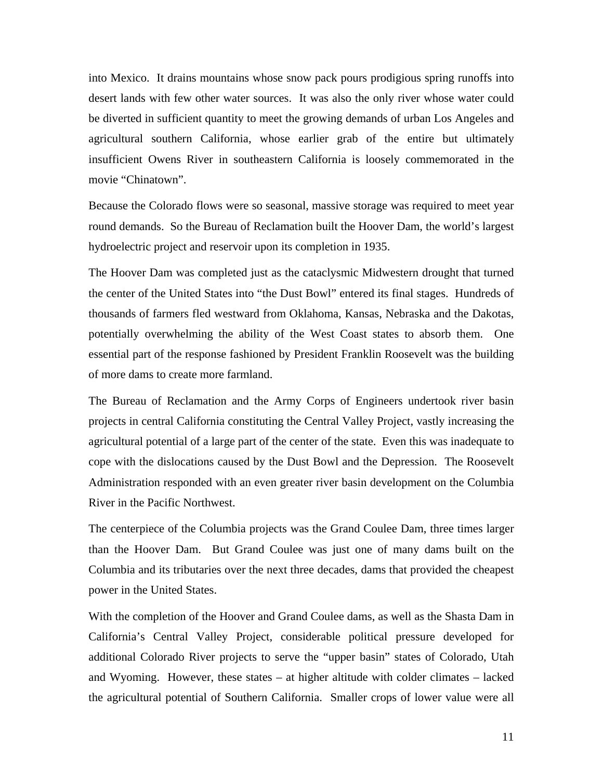into Mexico. It drains mountains whose snow pack pours prodigious spring runoffs into desert lands with few other water sources. It was also the only river whose water could be diverted in sufficient quantity to meet the growing demands of urban Los Angeles and agricultural southern California, whose earlier grab of the entire but ultimately insufficient Owens River in southeastern California is loosely commemorated in the movie "Chinatown".

Because the Colorado flows were so seasonal, massive storage was required to meet year round demands. So the Bureau of Reclamation built the Hoover Dam, the world's largest hydroelectric project and reservoir upon its completion in 1935.

The Hoover Dam was completed just as the cataclysmic Midwestern drought that turned the center of the United States into "the Dust Bowl" entered its final stages. Hundreds of thousands of farmers fled westward from Oklahoma, Kansas, Nebraska and the Dakotas, potentially overwhelming the ability of the West Coast states to absorb them. One essential part of the response fashioned by President Franklin Roosevelt was the building of more dams to create more farmland.

The Bureau of Reclamation and the Army Corps of Engineers undertook river basin projects in central California constituting the Central Valley Project, vastly increasing the agricultural potential of a large part of the center of the state. Even this was inadequate to cope with the dislocations caused by the Dust Bowl and the Depression. The Roosevelt Administration responded with an even greater river basin development on the Columbia River in the Pacific Northwest.

The centerpiece of the Columbia projects was the Grand Coulee Dam, three times larger than the Hoover Dam. But Grand Coulee was just one of many dams built on the Columbia and its tributaries over the next three decades, dams that provided the cheapest power in the United States.

With the completion of the Hoover and Grand Coulee dams, as well as the Shasta Dam in California's Central Valley Project, considerable political pressure developed for additional Colorado River projects to serve the "upper basin" states of Colorado, Utah and Wyoming. However, these states – at higher altitude with colder climates – lacked the agricultural potential of Southern California. Smaller crops of lower value were all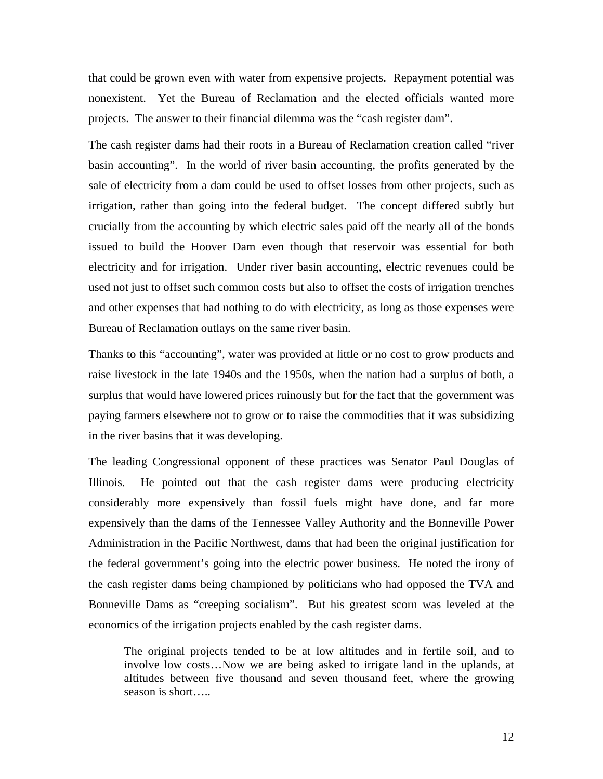that could be grown even with water from expensive projects. Repayment potential was nonexistent. Yet the Bureau of Reclamation and the elected officials wanted more projects. The answer to their financial dilemma was the "cash register dam".

The cash register dams had their roots in a Bureau of Reclamation creation called "river basin accounting". In the world of river basin accounting, the profits generated by the sale of electricity from a dam could be used to offset losses from other projects, such as irrigation, rather than going into the federal budget. The concept differed subtly but crucially from the accounting by which electric sales paid off the nearly all of the bonds issued to build the Hoover Dam even though that reservoir was essential for both electricity and for irrigation. Under river basin accounting, electric revenues could be used not just to offset such common costs but also to offset the costs of irrigation trenches and other expenses that had nothing to do with electricity, as long as those expenses were Bureau of Reclamation outlays on the same river basin.

Thanks to this "accounting", water was provided at little or no cost to grow products and raise livestock in the late 1940s and the 1950s, when the nation had a surplus of both, a surplus that would have lowered prices ruinously but for the fact that the government was paying farmers elsewhere not to grow or to raise the commodities that it was subsidizing in the river basins that it was developing.

The leading Congressional opponent of these practices was Senator Paul Douglas of Illinois. He pointed out that the cash register dams were producing electricity considerably more expensively than fossil fuels might have done, and far more expensively than the dams of the Tennessee Valley Authority and the Bonneville Power Administration in the Pacific Northwest, dams that had been the original justification for the federal government's going into the electric power business. He noted the irony of the cash register dams being championed by politicians who had opposed the TVA and Bonneville Dams as "creeping socialism". But his greatest scorn was leveled at the economics of the irrigation projects enabled by the cash register dams.

The original projects tended to be at low altitudes and in fertile soil, and to involve low costs…Now we are being asked to irrigate land in the uplands, at altitudes between five thousand and seven thousand feet, where the growing season is short…..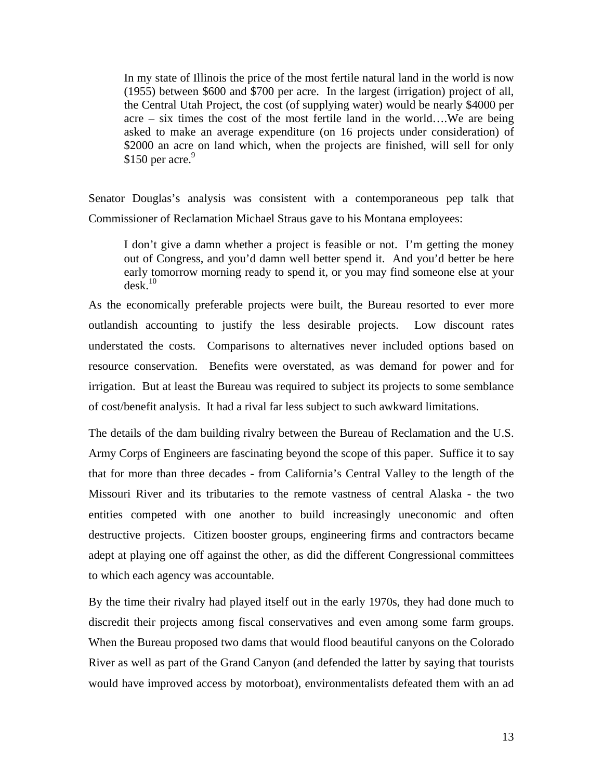In my state of Illinois the price of the most fertile natural land in the world is now (1955) between \$600 and \$700 per acre. In the largest (irrigation) project of all, the Central Utah Project, the cost (of supplying water) would be nearly \$4000 per acre – six times the cost of the most fertile land in the world….We are being asked to make an average expenditure (on 16 projects under consideration) of \$2000 an acre on land which, when the projects are finished, will sell for only  $$150$  per acre.<sup>9</sup>

Senator Douglas's analysis was consistent with a contemporaneous pep talk that Commissioner of Reclamation Michael Straus gave to his Montana employees:

I don't give a damn whether a project is feasible or not. I'm getting the money out of Congress, and you'd damn well better spend it. And you'd better be here early tomorrow morning ready to spend it, or you may find someone else at your  $\mathrm{d}$ esk.<sup>10</sup>

As the economically preferable projects were built, the Bureau resorted to ever more outlandish accounting to justify the less desirable projects. Low discount rates understated the costs. Comparisons to alternatives never included options based on resource conservation. Benefits were overstated, as was demand for power and for irrigation. But at least the Bureau was required to subject its projects to some semblance of cost/benefit analysis. It had a rival far less subject to such awkward limitations.

The details of the dam building rivalry between the Bureau of Reclamation and the U.S. Army Corps of Engineers are fascinating beyond the scope of this paper. Suffice it to say that for more than three decades - from California's Central Valley to the length of the Missouri River and its tributaries to the remote vastness of central Alaska - the two entities competed with one another to build increasingly uneconomic and often destructive projects. Citizen booster groups, engineering firms and contractors became adept at playing one off against the other, as did the different Congressional committees to which each agency was accountable.

By the time their rivalry had played itself out in the early 1970s, they had done much to discredit their projects among fiscal conservatives and even among some farm groups. When the Bureau proposed two dams that would flood beautiful canyons on the Colorado River as well as part of the Grand Canyon (and defended the latter by saying that tourists would have improved access by motorboat), environmentalists defeated them with an ad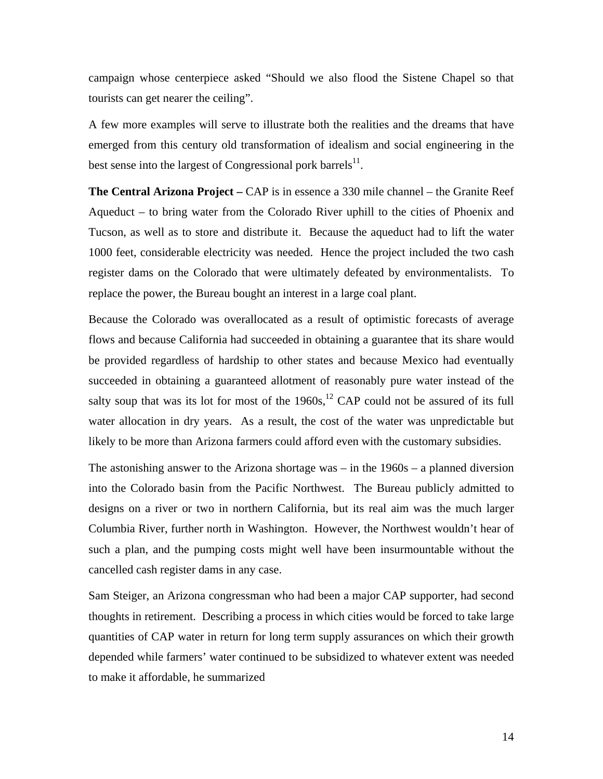campaign whose centerpiece asked "Should we also flood the Sistene Chapel so that tourists can get nearer the ceiling".

A few more examples will serve to illustrate both the realities and the dreams that have emerged from this century old transformation of idealism and social engineering in the best sense into the largest of Congressional pork barrels $^{11}$ .

**The Central Arizona Project –** CAP is in essence a 330 mile channel – the Granite Reef Aqueduct – to bring water from the Colorado River uphill to the cities of Phoenix and Tucson, as well as to store and distribute it. Because the aqueduct had to lift the water 1000 feet, considerable electricity was needed. Hence the project included the two cash register dams on the Colorado that were ultimately defeated by environmentalists. To replace the power, the Bureau bought an interest in a large coal plant.

Because the Colorado was overallocated as a result of optimistic forecasts of average flows and because California had succeeded in obtaining a guarantee that its share would be provided regardless of hardship to other states and because Mexico had eventually succeeded in obtaining a guaranteed allotment of reasonably pure water instead of the salty soup that was its lot for most of the  $1960s$ ,<sup>12</sup> CAP could not be assured of its full water allocation in dry years. As a result, the cost of the water was unpredictable but likely to be more than Arizona farmers could afford even with the customary subsidies.

The astonishing answer to the Arizona shortage was – in the 1960s – a planned diversion into the Colorado basin from the Pacific Northwest. The Bureau publicly admitted to designs on a river or two in northern California, but its real aim was the much larger Columbia River, further north in Washington. However, the Northwest wouldn't hear of such a plan, and the pumping costs might well have been insurmountable without the cancelled cash register dams in any case.

Sam Steiger, an Arizona congressman who had been a major CAP supporter, had second thoughts in retirement. Describing a process in which cities would be forced to take large quantities of CAP water in return for long term supply assurances on which their growth depended while farmers' water continued to be subsidized to whatever extent was needed to make it affordable, he summarized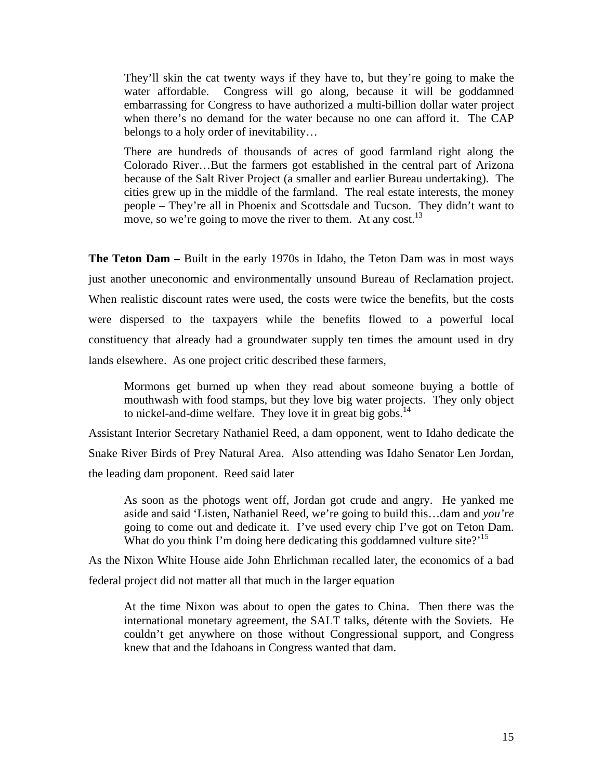They'll skin the cat twenty ways if they have to, but they're going to make the water affordable. Congress will go along, because it will be goddamned embarrassing for Congress to have authorized a multi-billion dollar water project when there's no demand for the water because no one can afford it. The CAP belongs to a holy order of inevitability…

There are hundreds of thousands of acres of good farmland right along the Colorado River…But the farmers got established in the central part of Arizona because of the Salt River Project (a smaller and earlier Bureau undertaking). The cities grew up in the middle of the farmland. The real estate interests, the money people – They're all in Phoenix and Scottsdale and Tucson. They didn't want to move, so we're going to move the river to them. At any cost.<sup>13</sup>

**The Teton Dam –** Built in the early 1970s in Idaho, the Teton Dam was in most ways just another uneconomic and environmentally unsound Bureau of Reclamation project. When realistic discount rates were used, the costs were twice the benefits, but the costs were dispersed to the taxpayers while the benefits flowed to a powerful local constituency that already had a groundwater supply ten times the amount used in dry lands elsewhere. As one project critic described these farmers,

Mormons get burned up when they read about someone buying a bottle of mouthwash with food stamps, but they love big water projects. They only object to nickel-and-dime welfare. They love it in great big gobs. $<sup>14</sup>$ </sup>

Assistant Interior Secretary Nathaniel Reed, a dam opponent, went to Idaho dedicate the Snake River Birds of Prey Natural Area. Also attending was Idaho Senator Len Jordan, the leading dam proponent. Reed said later

As soon as the photogs went off, Jordan got crude and angry. He yanked me aside and said 'Listen, Nathaniel Reed, we're going to build this…dam and *you're* going to come out and dedicate it. I've used every chip I've got on Teton Dam. What do you think I'm doing here dedicating this goddamned vulture site?'<sup>15</sup>

As the Nixon White House aide John Ehrlichman recalled later, the economics of a bad federal project did not matter all that much in the larger equation

At the time Nixon was about to open the gates to China. Then there was the international monetary agreement, the SALT talks, détente with the Soviets. He couldn't get anywhere on those without Congressional support, and Congress knew that and the Idahoans in Congress wanted that dam.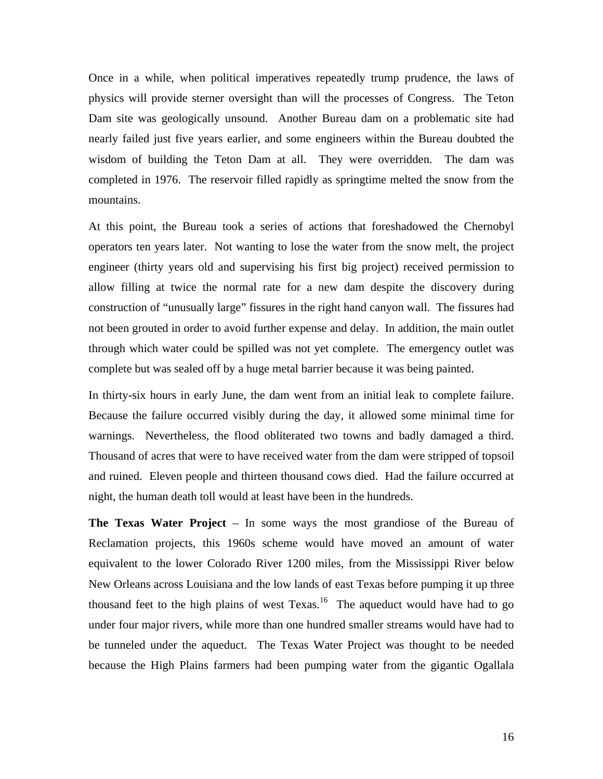Once in a while, when political imperatives repeatedly trump prudence, the laws of physics will provide sterner oversight than will the processes of Congress. The Teton Dam site was geologically unsound. Another Bureau dam on a problematic site had nearly failed just five years earlier, and some engineers within the Bureau doubted the wisdom of building the Teton Dam at all. They were overridden. The dam was completed in 1976. The reservoir filled rapidly as springtime melted the snow from the mountains.

At this point, the Bureau took a series of actions that foreshadowed the Chernobyl operators ten years later. Not wanting to lose the water from the snow melt, the project engineer (thirty years old and supervising his first big project) received permission to allow filling at twice the normal rate for a new dam despite the discovery during construction of "unusually large" fissures in the right hand canyon wall. The fissures had not been grouted in order to avoid further expense and delay. In addition, the main outlet through which water could be spilled was not yet complete. The emergency outlet was complete but was sealed off by a huge metal barrier because it was being painted.

In thirty-six hours in early June, the dam went from an initial leak to complete failure. Because the failure occurred visibly during the day, it allowed some minimal time for warnings. Nevertheless, the flood obliterated two towns and badly damaged a third. Thousand of acres that were to have received water from the dam were stripped of topsoil and ruined. Eleven people and thirteen thousand cows died. Had the failure occurred at night, the human death toll would at least have been in the hundreds.

**The Texas Water Project** – In some ways the most grandiose of the Bureau of Reclamation projects, this 1960s scheme would have moved an amount of water equivalent to the lower Colorado River 1200 miles, from the Mississippi River below New Orleans across Louisiana and the low lands of east Texas before pumping it up three thousand feet to the high plains of west  $T$ exas.<sup>16</sup> The aqueduct would have had to go under four major rivers, while more than one hundred smaller streams would have had to be tunneled under the aqueduct. The Texas Water Project was thought to be needed because the High Plains farmers had been pumping water from the gigantic Ogallala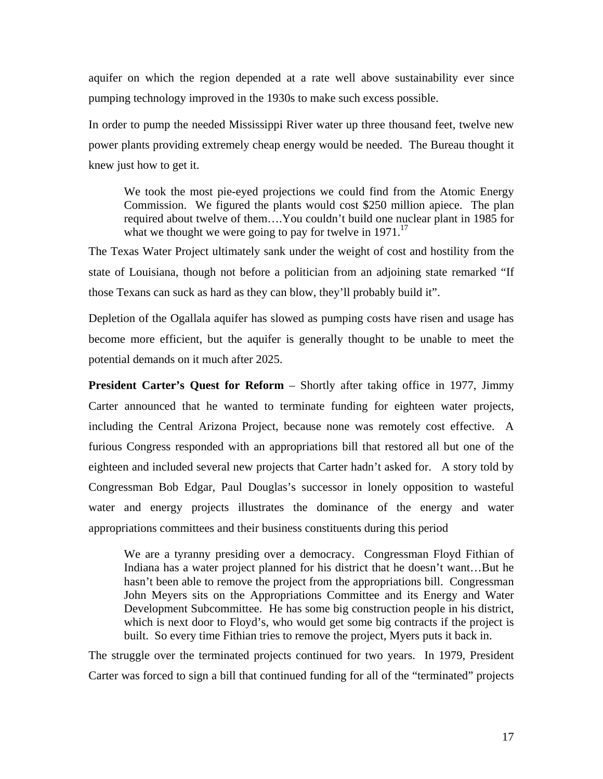aquifer on which the region depended at a rate well above sustainability ever since pumping technology improved in the 1930s to make such excess possible.

In order to pump the needed Mississippi River water up three thousand feet, twelve new power plants providing extremely cheap energy would be needed. The Bureau thought it knew just how to get it.

We took the most pie-eyed projections we could find from the Atomic Energy Commission. We figured the plants would cost \$250 million apiece. The plan required about twelve of them….You couldn't build one nuclear plant in 1985 for what we thought we were going to pay for twelve in  $1971$ .<sup>17</sup>

The Texas Water Project ultimately sank under the weight of cost and hostility from the state of Louisiana, though not before a politician from an adjoining state remarked "If those Texans can suck as hard as they can blow, they'll probably build it".

Depletion of the Ogallala aquifer has slowed as pumping costs have risen and usage has become more efficient, but the aquifer is generally thought to be unable to meet the potential demands on it much after 2025.

**President Carter's Quest for Reform** – Shortly after taking office in 1977, Jimmy Carter announced that he wanted to terminate funding for eighteen water projects, including the Central Arizona Project, because none was remotely cost effective. A furious Congress responded with an appropriations bill that restored all but one of the eighteen and included several new projects that Carter hadn't asked for. A story told by Congressman Bob Edgar, Paul Douglas's successor in lonely opposition to wasteful water and energy projects illustrates the dominance of the energy and water appropriations committees and their business constituents during this period

We are a tyranny presiding over a democracy. Congressman Floyd Fithian of Indiana has a water project planned for his district that he doesn't want…But he hasn't been able to remove the project from the appropriations bill. Congressman John Meyers sits on the Appropriations Committee and its Energy and Water Development Subcommittee. He has some big construction people in his district, which is next door to Floyd's, who would get some big contracts if the project is built. So every time Fithian tries to remove the project, Myers puts it back in.

The struggle over the terminated projects continued for two years. In 1979, President Carter was forced to sign a bill that continued funding for all of the "terminated" projects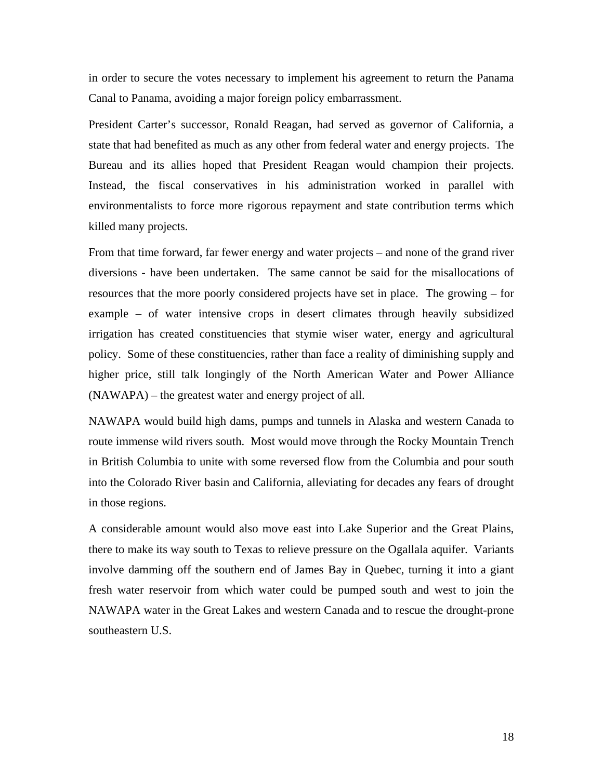in order to secure the votes necessary to implement his agreement to return the Panama Canal to Panama, avoiding a major foreign policy embarrassment.

President Carter's successor, Ronald Reagan, had served as governor of California, a state that had benefited as much as any other from federal water and energy projects. The Bureau and its allies hoped that President Reagan would champion their projects. Instead, the fiscal conservatives in his administration worked in parallel with environmentalists to force more rigorous repayment and state contribution terms which killed many projects.

From that time forward, far fewer energy and water projects – and none of the grand river diversions - have been undertaken. The same cannot be said for the misallocations of resources that the more poorly considered projects have set in place. The growing – for example – of water intensive crops in desert climates through heavily subsidized irrigation has created constituencies that stymie wiser water, energy and agricultural policy. Some of these constituencies, rather than face a reality of diminishing supply and higher price, still talk longingly of the North American Water and Power Alliance (NAWAPA) – the greatest water and energy project of all.

NAWAPA would build high dams, pumps and tunnels in Alaska and western Canada to route immense wild rivers south. Most would move through the Rocky Mountain Trench in British Columbia to unite with some reversed flow from the Columbia and pour south into the Colorado River basin and California, alleviating for decades any fears of drought in those regions.

A considerable amount would also move east into Lake Superior and the Great Plains, there to make its way south to Texas to relieve pressure on the Ogallala aquifer. Variants involve damming off the southern end of James Bay in Quebec, turning it into a giant fresh water reservoir from which water could be pumped south and west to join the NAWAPA water in the Great Lakes and western Canada and to rescue the drought-prone southeastern U.S.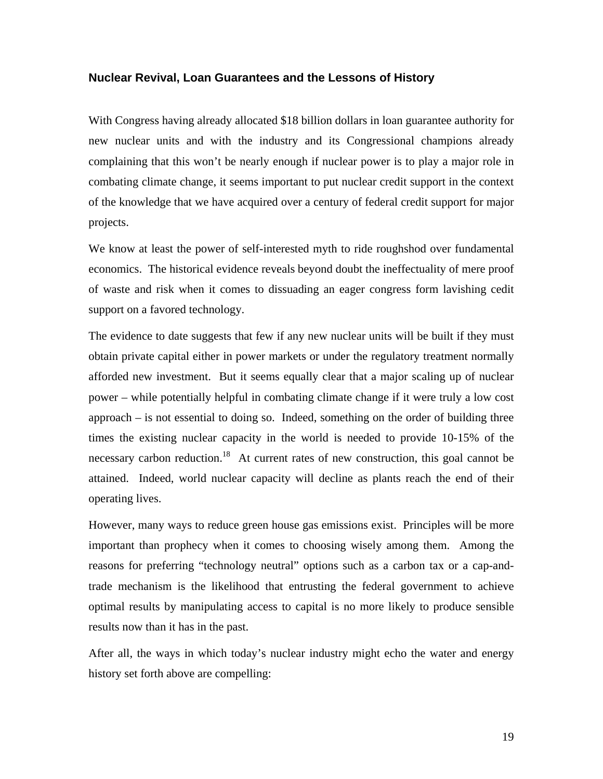## **Nuclear Revival, Loan Guarantees and the Lessons of History**

With Congress having already allocated \$18 billion dollars in loan guarantee authority for new nuclear units and with the industry and its Congressional champions already complaining that this won't be nearly enough if nuclear power is to play a major role in combating climate change, it seems important to put nuclear credit support in the context of the knowledge that we have acquired over a century of federal credit support for major projects.

We know at least the power of self-interested myth to ride roughshod over fundamental economics. The historical evidence reveals beyond doubt the ineffectuality of mere proof of waste and risk when it comes to dissuading an eager congress form lavishing cedit support on a favored technology.

The evidence to date suggests that few if any new nuclear units will be built if they must obtain private capital either in power markets or under the regulatory treatment normally afforded new investment. But it seems equally clear that a major scaling up of nuclear power – while potentially helpful in combating climate change if it were truly a low cost approach – is not essential to doing so. Indeed, something on the order of building three times the existing nuclear capacity in the world is needed to provide 10-15% of the necessary carbon reduction.<sup>18</sup> At current rates of new construction, this goal cannot be attained. Indeed, world nuclear capacity will decline as plants reach the end of their operating lives.

However, many ways to reduce green house gas emissions exist. Principles will be more important than prophecy when it comes to choosing wisely among them. Among the reasons for preferring "technology neutral" options such as a carbon tax or a cap-andtrade mechanism is the likelihood that entrusting the federal government to achieve optimal results by manipulating access to capital is no more likely to produce sensible results now than it has in the past.

After all, the ways in which today's nuclear industry might echo the water and energy history set forth above are compelling: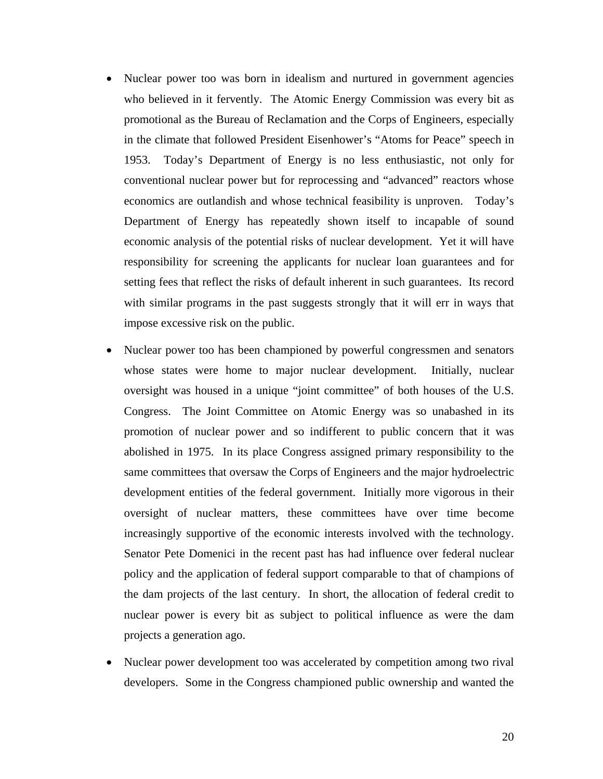- Nuclear power too was born in idealism and nurtured in government agencies who believed in it fervently. The Atomic Energy Commission was every bit as promotional as the Bureau of Reclamation and the Corps of Engineers, especially in the climate that followed President Eisenhower's "Atoms for Peace" speech in 1953. Today's Department of Energy is no less enthusiastic, not only for conventional nuclear power but for reprocessing and "advanced" reactors whose economics are outlandish and whose technical feasibility is unproven. Today's Department of Energy has repeatedly shown itself to incapable of sound economic analysis of the potential risks of nuclear development. Yet it will have responsibility for screening the applicants for nuclear loan guarantees and for setting fees that reflect the risks of default inherent in such guarantees. Its record with similar programs in the past suggests strongly that it will err in ways that impose excessive risk on the public.
- Nuclear power too has been championed by powerful congressmen and senators whose states were home to major nuclear development. Initially, nuclear oversight was housed in a unique "joint committee" of both houses of the U.S. Congress. The Joint Committee on Atomic Energy was so unabashed in its promotion of nuclear power and so indifferent to public concern that it was abolished in 1975. In its place Congress assigned primary responsibility to the same committees that oversaw the Corps of Engineers and the major hydroelectric development entities of the federal government. Initially more vigorous in their oversight of nuclear matters, these committees have over time become increasingly supportive of the economic interests involved with the technology. Senator Pete Domenici in the recent past has had influence over federal nuclear policy and the application of federal support comparable to that of champions of the dam projects of the last century. In short, the allocation of federal credit to nuclear power is every bit as subject to political influence as were the dam projects a generation ago.
- Nuclear power development too was accelerated by competition among two rival developers. Some in the Congress championed public ownership and wanted the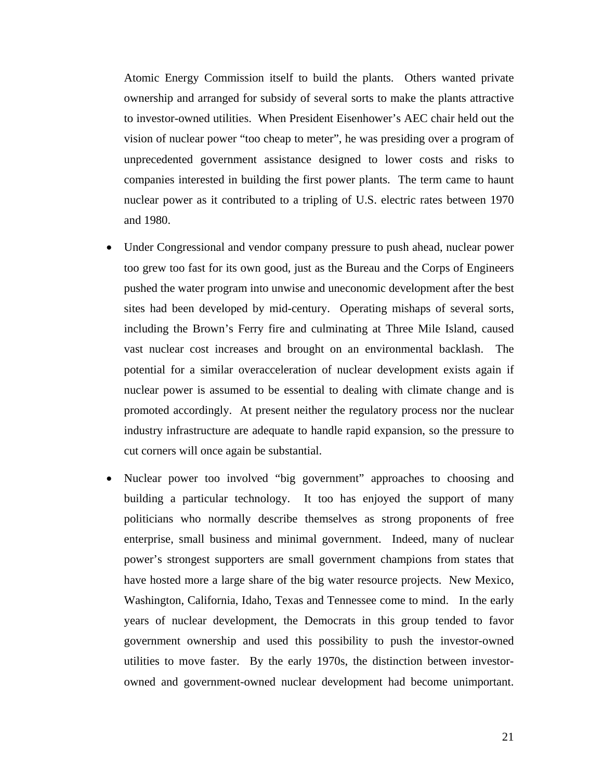Atomic Energy Commission itself to build the plants. Others wanted private ownership and arranged for subsidy of several sorts to make the plants attractive to investor-owned utilities. When President Eisenhower's AEC chair held out the vision of nuclear power "too cheap to meter", he was presiding over a program of unprecedented government assistance designed to lower costs and risks to companies interested in building the first power plants. The term came to haunt nuclear power as it contributed to a tripling of U.S. electric rates between 1970 and 1980.

- Under Congressional and vendor company pressure to push ahead, nuclear power too grew too fast for its own good, just as the Bureau and the Corps of Engineers pushed the water program into unwise and uneconomic development after the best sites had been developed by mid-century. Operating mishaps of several sorts, including the Brown's Ferry fire and culminating at Three Mile Island, caused vast nuclear cost increases and brought on an environmental backlash. The potential for a similar overacceleration of nuclear development exists again if nuclear power is assumed to be essential to dealing with climate change and is promoted accordingly. At present neither the regulatory process nor the nuclear industry infrastructure are adequate to handle rapid expansion, so the pressure to cut corners will once again be substantial.
- Nuclear power too involved "big government" approaches to choosing and building a particular technology. It too has enjoyed the support of many politicians who normally describe themselves as strong proponents of free enterprise, small business and minimal government. Indeed, many of nuclear power's strongest supporters are small government champions from states that have hosted more a large share of the big water resource projects. New Mexico, Washington, California, Idaho, Texas and Tennessee come to mind. In the early years of nuclear development, the Democrats in this group tended to favor government ownership and used this possibility to push the investor-owned utilities to move faster. By the early 1970s, the distinction between investorowned and government-owned nuclear development had become unimportant.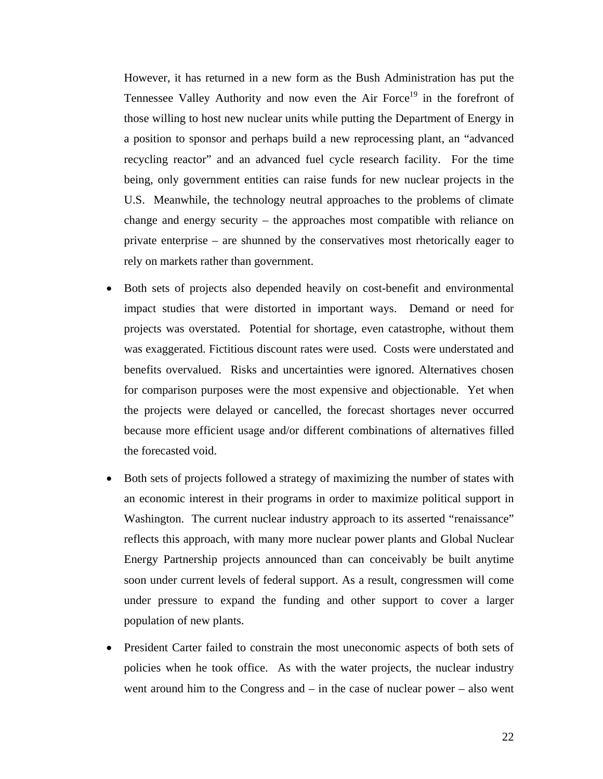However, it has returned in a new form as the Bush Administration has put the Tennessee Valley Authority and now even the Air Force<sup>19</sup> in the forefront of those willing to host new nuclear units while putting the Department of Energy in a position to sponsor and perhaps build a new reprocessing plant, an "advanced recycling reactor" and an advanced fuel cycle research facility. For the time being, only government entities can raise funds for new nuclear projects in the U.S. Meanwhile, the technology neutral approaches to the problems of climate change and energy security – the approaches most compatible with reliance on private enterprise – are shunned by the conservatives most rhetorically eager to rely on markets rather than government.

- Both sets of projects also depended heavily on cost-benefit and environmental impact studies that were distorted in important ways. Demand or need for projects was overstated. Potential for shortage, even catastrophe, without them was exaggerated. Fictitious discount rates were used. Costs were understated and benefits overvalued. Risks and uncertainties were ignored. Alternatives chosen for comparison purposes were the most expensive and objectionable. Yet when the projects were delayed or cancelled, the forecast shortages never occurred because more efficient usage and/or different combinations of alternatives filled the forecasted void.
- Both sets of projects followed a strategy of maximizing the number of states with an economic interest in their programs in order to maximize political support in Washington. The current nuclear industry approach to its asserted "renaissance" reflects this approach, with many more nuclear power plants and Global Nuclear Energy Partnership projects announced than can conceivably be built anytime soon under current levels of federal support. As a result, congressmen will come under pressure to expand the funding and other support to cover a larger population of new plants.
- President Carter failed to constrain the most uneconomic aspects of both sets of policies when he took office. As with the water projects, the nuclear industry went around him to the Congress and – in the case of nuclear power – also went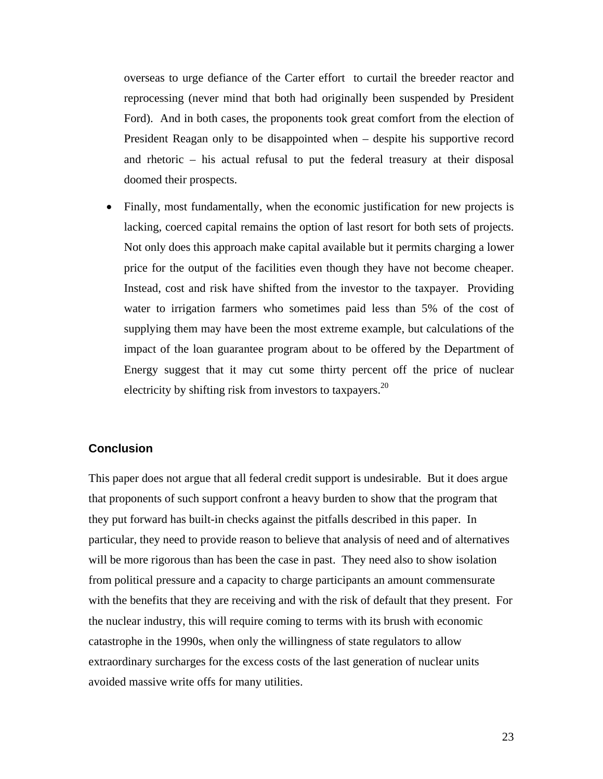overseas to urge defiance of the Carter effort to curtail the breeder reactor and reprocessing (never mind that both had originally been suspended by President Ford). And in both cases, the proponents took great comfort from the election of President Reagan only to be disappointed when – despite his supportive record and rhetoric – his actual refusal to put the federal treasury at their disposal doomed their prospects.

• Finally, most fundamentally, when the economic justification for new projects is lacking, coerced capital remains the option of last resort for both sets of projects. Not only does this approach make capital available but it permits charging a lower price for the output of the facilities even though they have not become cheaper. Instead, cost and risk have shifted from the investor to the taxpayer. Providing water to irrigation farmers who sometimes paid less than 5% of the cost of supplying them may have been the most extreme example, but calculations of the impact of the loan guarantee program about to be offered by the Department of Energy suggest that it may cut some thirty percent off the price of nuclear electricity by shifting risk from investors to taxpayers.<sup>20</sup>

# **Conclusion**

This paper does not argue that all federal credit support is undesirable. But it does argue that proponents of such support confront a heavy burden to show that the program that they put forward has built-in checks against the pitfalls described in this paper. In particular, they need to provide reason to believe that analysis of need and of alternatives will be more rigorous than has been the case in past. They need also to show isolation from political pressure and a capacity to charge participants an amount commensurate with the benefits that they are receiving and with the risk of default that they present. For the nuclear industry, this will require coming to terms with its brush with economic catastrophe in the 1990s, when only the willingness of state regulators to allow extraordinary surcharges for the excess costs of the last generation of nuclear units avoided massive write offs for many utilities.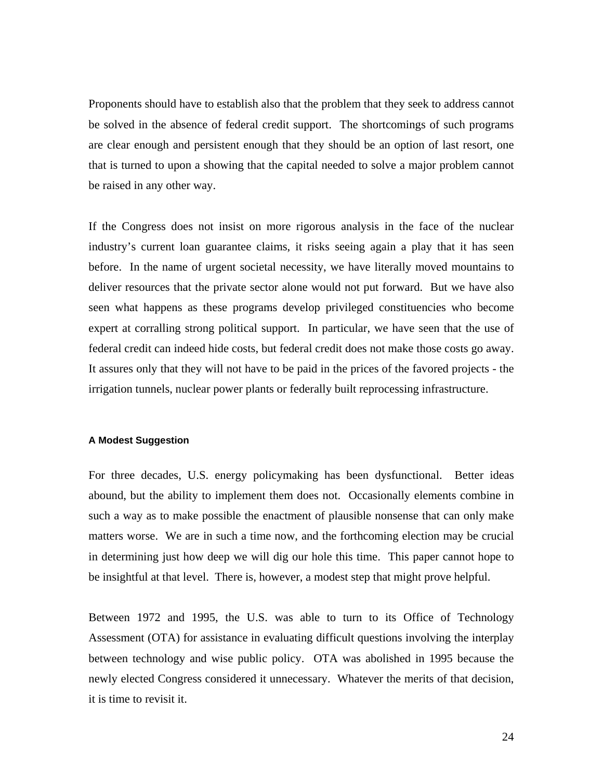Proponents should have to establish also that the problem that they seek to address cannot be solved in the absence of federal credit support. The shortcomings of such programs are clear enough and persistent enough that they should be an option of last resort, one that is turned to upon a showing that the capital needed to solve a major problem cannot be raised in any other way.

If the Congress does not insist on more rigorous analysis in the face of the nuclear industry's current loan guarantee claims, it risks seeing again a play that it has seen before. In the name of urgent societal necessity, we have literally moved mountains to deliver resources that the private sector alone would not put forward. But we have also seen what happens as these programs develop privileged constituencies who become expert at corralling strong political support. In particular, we have seen that the use of federal credit can indeed hide costs, but federal credit does not make those costs go away. It assures only that they will not have to be paid in the prices of the favored projects - the irrigation tunnels, nuclear power plants or federally built reprocessing infrastructure.

#### **A Modest Suggestion**

For three decades, U.S. energy policymaking has been dysfunctional. Better ideas abound, but the ability to implement them does not. Occasionally elements combine in such a way as to make possible the enactment of plausible nonsense that can only make matters worse. We are in such a time now, and the forthcoming election may be crucial in determining just how deep we will dig our hole this time. This paper cannot hope to be insightful at that level. There is, however, a modest step that might prove helpful.

Between 1972 and 1995, the U.S. was able to turn to its Office of Technology Assessment (OTA) for assistance in evaluating difficult questions involving the interplay between technology and wise public policy. OTA was abolished in 1995 because the newly elected Congress considered it unnecessary. Whatever the merits of that decision, it is time to revisit it.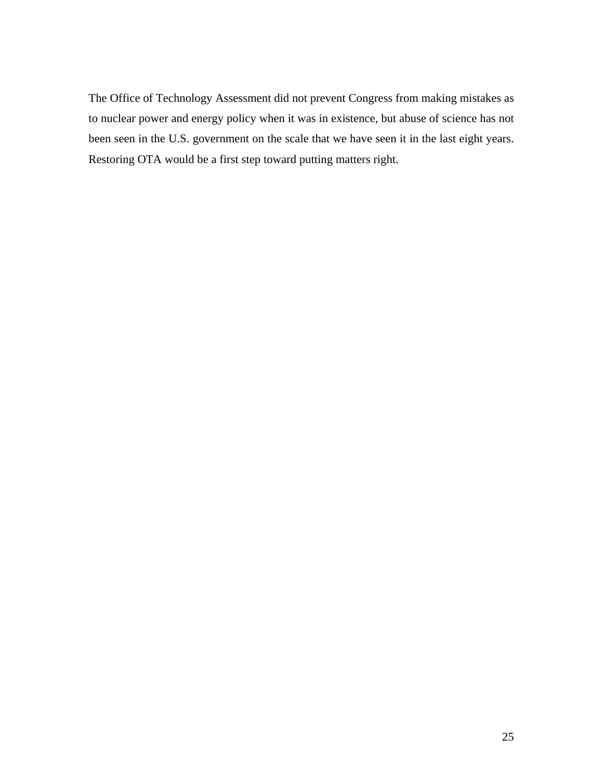The Office of Technology Assessment did not prevent Congress from making mistakes as to nuclear power and energy policy when it was in existence, but abuse of science has not been seen in the U.S. government on the scale that we have seen it in the last eight years. Restoring OTA would be a first step toward putting matters right.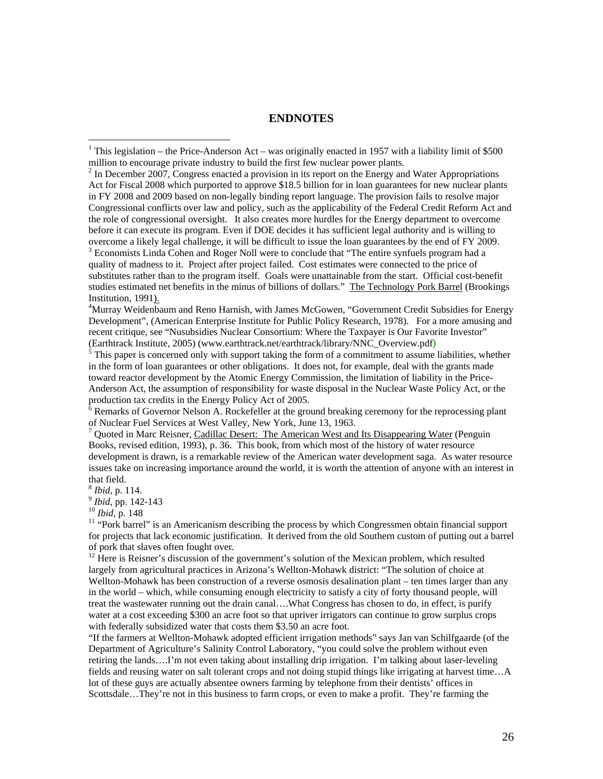# **ENDNOTES**

4 Murray Weidenbaum and Reno Harnish, with James McGowen, "Government Credit Subsidies for Energy Development", (American Enterprise Institute for Public Policy Research, 1978). For a more amusing and recent critique, see "Nusubsidies Nuclear Consortium: Where the Taxpayer is Our Favorite Investor" (Earthtrack Institute, 2005) (www.earthtrack.net/earthtrack/library/NNC\_Overview.pdf) <sup>5</sup>

 $<sup>5</sup>$  This paper is concerned only with support taking the form of a commitment to assume liabilities, whether</sup> in the form of loan guarantees or other obligations. It does not, for example, deal with the grants made toward reactor development by the Atomic Energy Commission, the limitation of liability in the Price-Anderson Act, the assumption of responsibility for waste disposal in the Nuclear Waste Policy Act, or the production tax credits in the Energy Policy Act of 2005.

Remarks of Governor Nelson A. Rockefeller at the ground breaking ceremony for the reprocessing plant of Nuclear Fuel Services at West Valley, New York, June 13, 1963. 7

 $\alpha^7$  Quoted in Marc Reisner, Cadillac Desert: The American West and Its Disappearing Water (Penguin) Books, revised edition, 1993), p. 36. This book, from which most of the history of water resource development is drawn, is a remarkable review of the American water development saga. As water resource issues take on increasing importance around the world, it is worth the attention of anyone with an interest in that field.<br> $8 \, \text{Ibid, p. 114.}$ 

 $\overline{a}$ 

<sup>9</sup> *Ibid*, pp. 142-143<br><sup>10</sup> *Ibid*, p. 148<br><sup>11</sup> "Pork barrel" is an Americanism describing the process by which Congressmen obtain financial support for projects that lack economic justification. It derived from the old Southern custom of putting out a barrel of pork that slaves often fought over.

 $12$  Here is Reisner's discussion of the government's solution of the Mexican problem, which resulted largely from agricultural practices in Arizona's Wellton-Mohawk district: "The solution of choice at Wellton-Mohawk has been construction of a reverse osmosis desalination plant – ten times larger than any in the world – which, while consuming enough electricity to satisfy a city of forty thousand people, will treat the wastewater running out the drain canal….What Congress has chosen to do, in effect, is purify water at a cost exceeding \$300 an acre foot so that upriver irrigators can continue to grow surplus crops with federally subsidized water that costs them \$3.50 an acre foot.

"If the farmers at Wellton-Mohawk adopted efficient irrigation methods" says Jan van Schilfgaarde (of the Department of Agriculture's Salinity Control Laboratory, "you could solve the problem without even retiring the lands….I'm not even taking about installing drip irrigation. I'm talking about laser-leveling fields and reusing water on salt tolerant crops and not doing stupid things like irrigating at harvest time…A lot of these guys are actually absentee owners farming by telephone from their dentists' offices in Scottsdale…They're not in this business to farm crops, or even to make a profit. They're farming the

<sup>&</sup>lt;sup>1</sup> This legislation – the Price-Anderson Act – was originally enacted in 1957 with a liability limit of \$500 million to encourage private industry to build the first few nuclear power plants.

 $2^{2}$  In December 2007, Congress enacted a provision in its report on the Energy and Water Appropriations Act for Fiscal 2008 which purported to approve \$18.5 billion for in loan guarantees for new nuclear plants in FY 2008 and 2009 based on non-legally binding report language. The provision fails to resolve major Congressional conflicts over law and policy, such as the applicability of the Federal Credit Reform Act and the role of congressional oversight. It also creates more hurdles for the Energy department to overcome before it can execute its program. Even if DOE decides it has sufficient legal authority and is willing to overcome a likely legal challenge, it will be difficult to issue the loan guarantees by the end of FY 2009.

<sup>&</sup>lt;sup>3</sup> Economists Linda Cohen and Roger Noll were to conclude that "The entire synfuels program had a quality of madness to it. Project after project failed. Cost estimates were connected to the price of substitutes rather than to the program itself. Goals were unattainable from the start. Official cost-benefit studies estimated net benefits in the minus of billions of dollars." The Technology Pork Barrel (Brookings Institution, 1991).